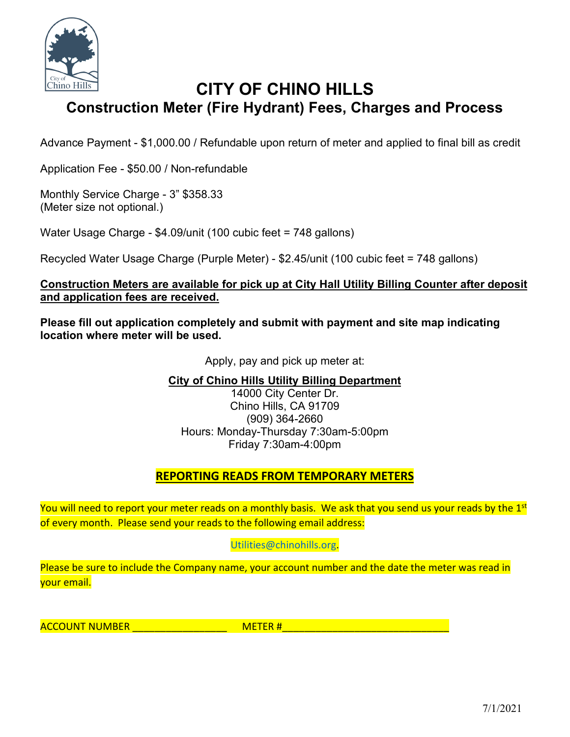

# **CITY OF CHINO HILLS Construction Meter (Fire Hydrant) Fees, Charges and Process**

Advance Payment - \$1,000.00 / Refundable upon return of meter and applied to final bill as credit

Application Fee - \$50.00 / Non-refundable

Monthly Service Charge - 3" \$358.33 (Meter size not optional.)

Water Usage Charge - \$4.09/unit (100 cubic feet = 748 gallons)

Recycled Water Usage Charge (Purple Meter) - \$2.45/unit (100 cubic feet = 748 gallons)

### **Construction Meters are available for pick up at City Hall Utility Billing Counter after deposit and application fees are received.**

**Please fill out application completely and submit with payment and site map indicating location where meter will be used.** 

Apply, pay and pick up meter at:

**City of Chino Hills Utility Billing Department** 

14000 City Center Dr. Chino Hills, CA 91709 (909) 364-2660 Hours: Monday-Thursday 7:30am-5:00pm Friday 7:30am-4:00pm

## **REPORTING READS FROM TEMPORARY METERS**

You will need to report your meter reads on a monthly basis. We ask that you send us your reads by the 1<sup>st</sup> of every month. Please send your reads to the following email address:

### [Utilities@chinohills.org.](mailto:Utilities@chinohills.org)

Please be sure to include the Company name, your account number and the date the meter was read in your email.

ACCOUNT NUMBER \_\_\_\_\_\_\_\_\_\_\_\_\_\_\_\_\_ METER #\_\_\_\_\_\_\_\_\_\_\_\_\_\_\_\_\_\_\_\_\_\_\_\_\_\_\_\_\_\_